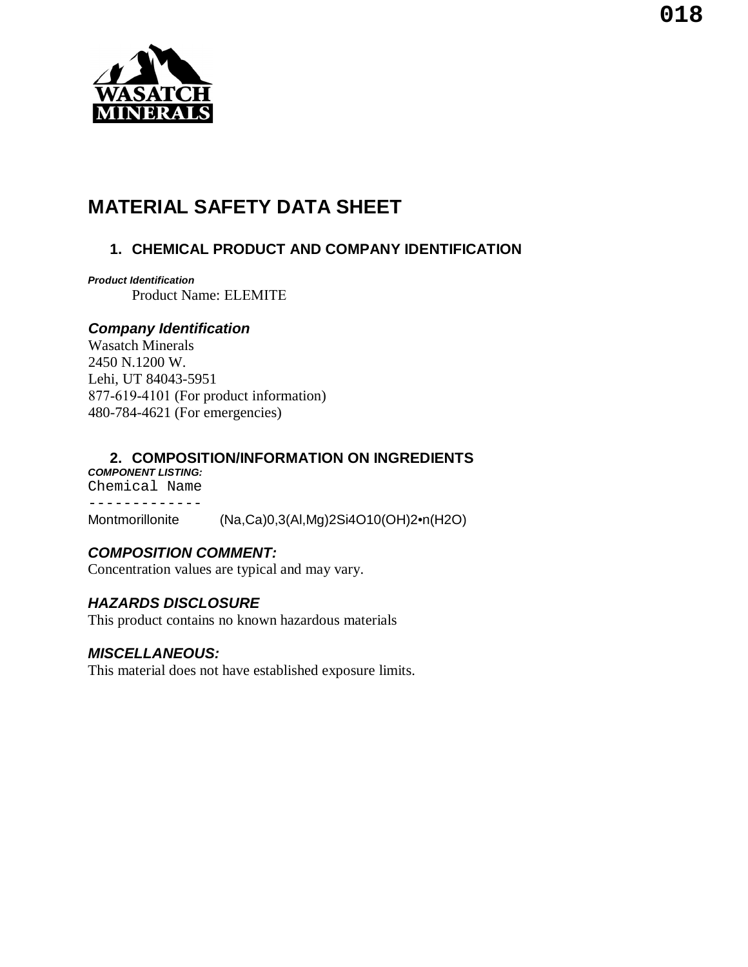

# **MATERIAL SAFETY DATA SHEET**

# **1. CHEMICAL PRODUCT AND COMPANY IDENTIFICATION**

*Product Identification* Product Name: ELEMITE

## *Company Identification*

Wasatch Minerals 2450 N.1200 W. Lehi, UT 84043-5951 877-619-4101 (For product information) 480-784-4621 (For emergencies)

## **2. COMPOSITION/INFORMATION ON INGREDIENTS**

*COMPONENT LISTING:* Chemical Name ------------- Montmorillonite (Na,Ca)0,3(Al,Mg)2Si4O10(OH)2•n(H2O)

# *COMPOSITION COMMENT:*

Concentration values are typical and may vary.

# *HAZARDS DISCLOSURE*

This product contains no known hazardous materials

#### *MISCELLANEOUS:*

This material does not have established exposure limits.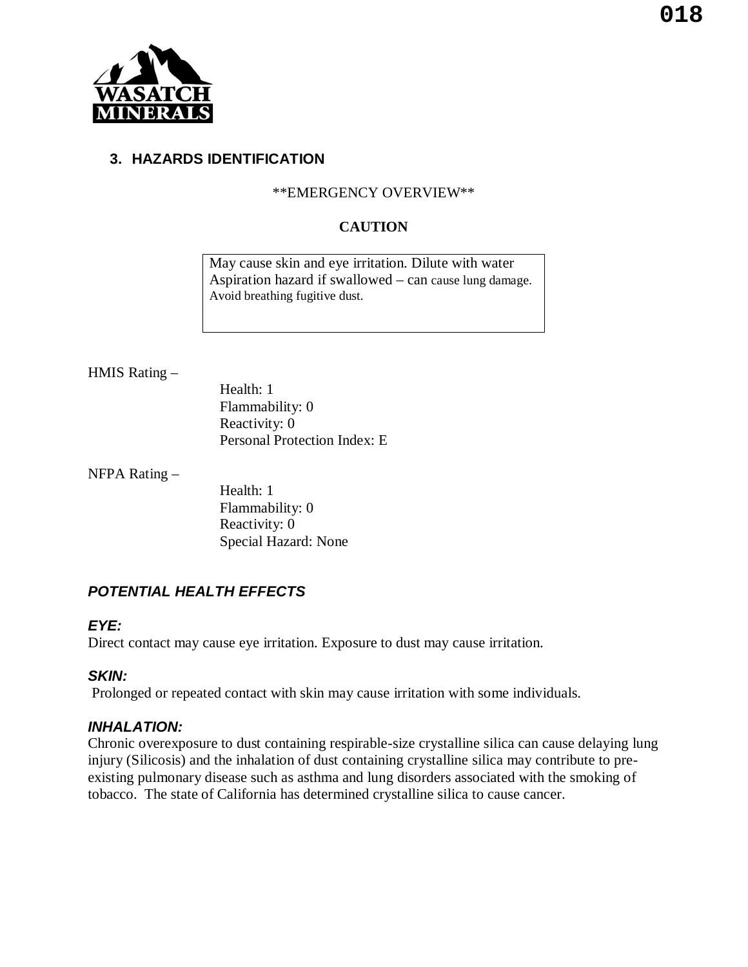

#### **3. HAZARDS IDENTIFICATION**

#### \*\*EMERGENCY OVERVIEW\*\*

#### **CAUTION**

May cause skin and eye irritation. Dilute with water Aspiration hazard if swallowed – can cause lung damage. Avoid breathing fugitive dust.

#### HMIS Rating –

Health: 1 Flammability: 0 Reactivity: 0 Personal Protection Index: E

NFPA Rating –

Health: 1 Flammability: 0 Reactivity: 0 Special Hazard: None

# *POTENTIAL HEALTH EFFECTS*

#### *EYE:*

Direct contact may cause eye irritation. Exposure to dust may cause irritation.

#### *SKIN:*

Prolonged or repeated contact with skin may cause irritation with some individuals.

#### *INHALATION:*

Chronic overexposure to dust containing respirable-size crystalline silica can cause delaying lung injury (Silicosis) and the inhalation of dust containing crystalline silica may contribute to preexisting pulmonary disease such as asthma and lung disorders associated with the smoking of tobacco. The state of California has determined crystalline silica to cause cancer.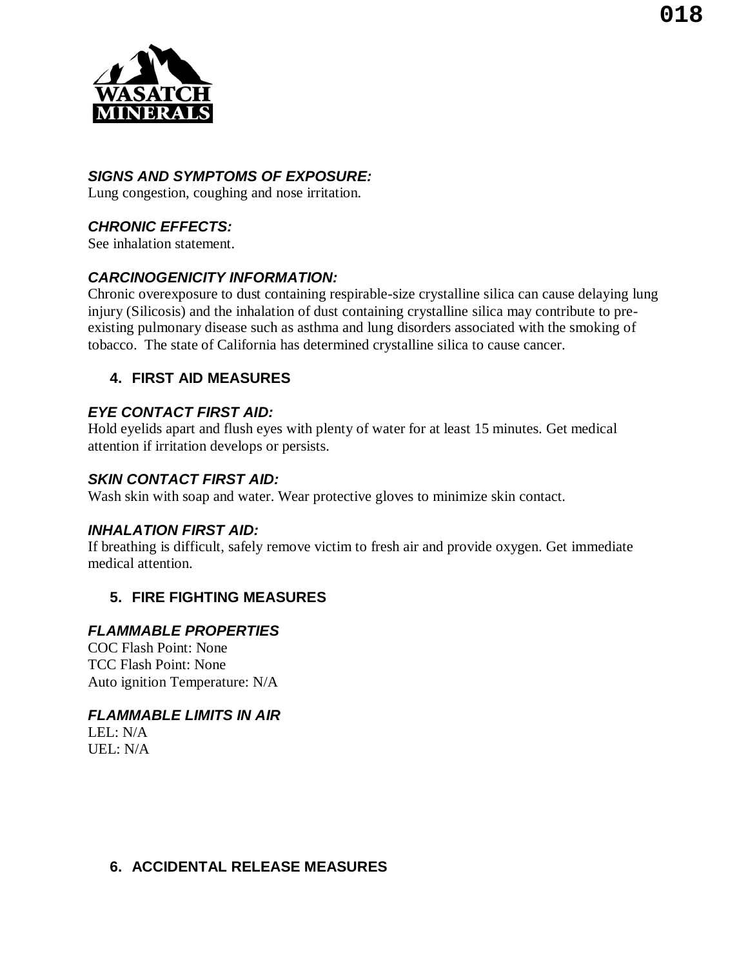

# *SIGNS AND SYMPTOMS OF EXPOSURE:*

Lung congestion, coughing and nose irritation.

# *CHRONIC EFFECTS:*

See inhalation statement.

# *CARCINOGENICITY INFORMATION:*

Chronic overexposure to dust containing respirable-size crystalline silica can cause delaying lung injury (Silicosis) and the inhalation of dust containing crystalline silica may contribute to preexisting pulmonary disease such as asthma and lung disorders associated with the smoking of tobacco. The state of California has determined crystalline silica to cause cancer.

## **4. FIRST AID MEASURES**

## *EYE CONTACT FIRST AID:*

Hold eyelids apart and flush eyes with plenty of water for at least 15 minutes. Get medical attention if irritation develops or persists.

#### *SKIN CONTACT FIRST AID:*

Wash skin with soap and water. Wear protective gloves to minimize skin contact.

#### *INHALATION FIRST AID:*

If breathing is difficult, safely remove victim to fresh air and provide oxygen. Get immediate medical attention.

# **5. FIRE FIGHTING MEASURES**

#### *FLAMMABLE PROPERTIES*

COC Flash Point: None TCC Flash Point: None Auto ignition Temperature: N/A

#### *FLAMMABLE LIMITS IN AIR*

 $LEL: N/A$  $UEL: N/A$ 

## **6. ACCIDENTAL RELEASE MEASURES**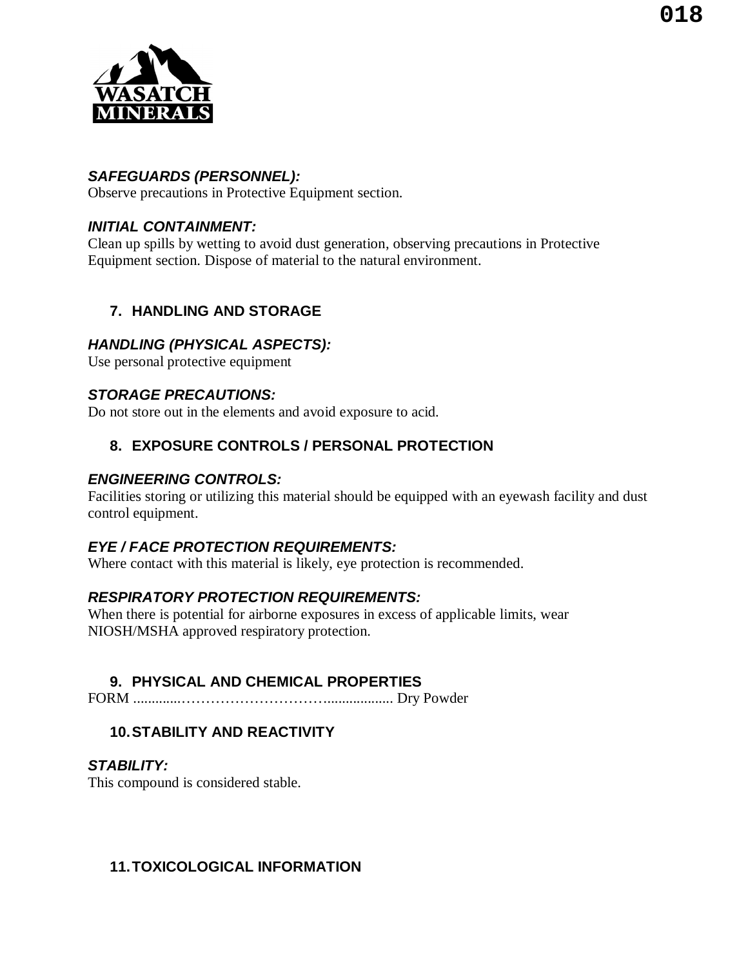

## *SAFEGUARDS (PERSONNEL):*

Observe precautions in Protective Equipment section.

# *INITIAL CONTAINMENT:*

Clean up spills by wetting to avoid dust generation, observing precautions in Protective Equipment section. Dispose of material to the natural environment.

# **7. HANDLING AND STORAGE**

## *HANDLING (PHYSICAL ASPECTS):*

Use personal protective equipment

## *STORAGE PRECAUTIONS:*

Do not store out in the elements and avoid exposure to acid.

# **8. EXPOSURE CONTROLS / PERSONAL PROTECTION**

#### *ENGINEERING CONTROLS:*

Facilities storing or utilizing this material should be equipped with an eyewash facility and dust control equipment.

#### *EYE / FACE PROTECTION REQUIREMENTS:*

Where contact with this material is likely, eye protection is recommended.

#### *RESPIRATORY PROTECTION REQUIREMENTS:*

When there is potential for airborne exposures in excess of applicable limits, wear NIOSH/MSHA approved respiratory protection.

# **9. PHYSICAL AND CHEMICAL PROPERTIES**

FORM .............………………………….................. Dry Powder

# **10.STABILITY AND REACTIVITY**

#### *STABILITY:*

This compound is considered stable.

## **11.TOXICOLOGICAL INFORMATION**